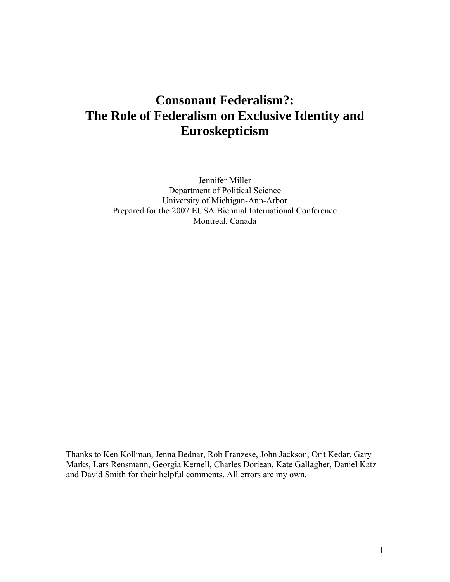# **Consonant Federalism?: The Role of Federalism on Exclusive Identity and Euroskepticism**

Jennifer Miller Department of Political Science University of Michigan-Ann-Arbor Prepared for the 2007 EUSA Biennial International Conference Montreal, Canada

Thanks to Ken Kollman, Jenna Bednar, Rob Franzese, John Jackson, Orit Kedar, Gary Marks, Lars Rensmann, Georgia Kernell, Charles Doriean, Kate Gallagher, Daniel Katz and David Smith for their helpful comments. All errors are my own.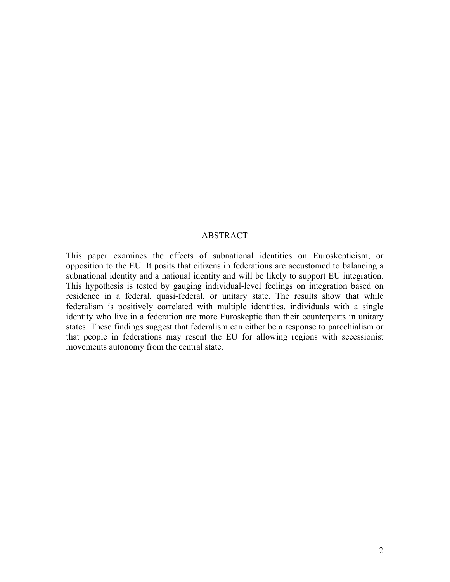## ABSTRACT

This paper examines the effects of subnational identities on Euroskepticism, or opposition to the EU. It posits that citizens in federations are accustomed to balancing a subnational identity and a national identity and will be likely to support EU integration. This hypothesis is tested by gauging individual-level feelings on integration based on residence in a federal, quasi-federal, or unitary state. The results show that while federalism is positively correlated with multiple identities, individuals with a single identity who live in a federation are more Euroskeptic than their counterparts in unitary states. These findings suggest that federalism can either be a response to parochialism or that people in federations may resent the EU for allowing regions with secessionist movements autonomy from the central state.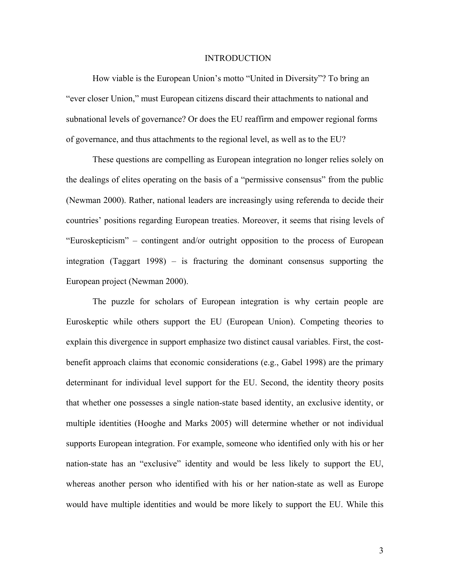#### INTRODUCTION

How viable is the European Union's motto "United in Diversity"? To bring an "ever closer Union," must European citizens discard their attachments to national and subnational levels of governance? Or does the EU reaffirm and empower regional forms of governance, and thus attachments to the regional level, as well as to the EU?

These questions are compelling as European integration no longer relies solely on the dealings of elites operating on the basis of a "permissive consensus" from the public (Newman 2000). Rather, national leaders are increasingly using referenda to decide their countries' positions regarding European treaties. Moreover, it seems that rising levels of "Euroskepticism" – contingent and/or outright opposition to the process of European integration (Taggart 1998) – is fracturing the dominant consensus supporting the European project (Newman 2000).

The puzzle for scholars of European integration is why certain people are Euroskeptic while others support the EU (European Union). Competing theories to explain this divergence in support emphasize two distinct causal variables. First, the costbenefit approach claims that economic considerations (e.g., Gabel 1998) are the primary determinant for individual level support for the EU. Second, the identity theory posits that whether one possesses a single nation-state based identity, an exclusive identity, or multiple identities (Hooghe and Marks 2005) will determine whether or not individual supports European integration. For example, someone who identified only with his or her nation-state has an "exclusive" identity and would be less likely to support the EU, whereas another person who identified with his or her nation-state as well as Europe would have multiple identities and would be more likely to support the EU. While this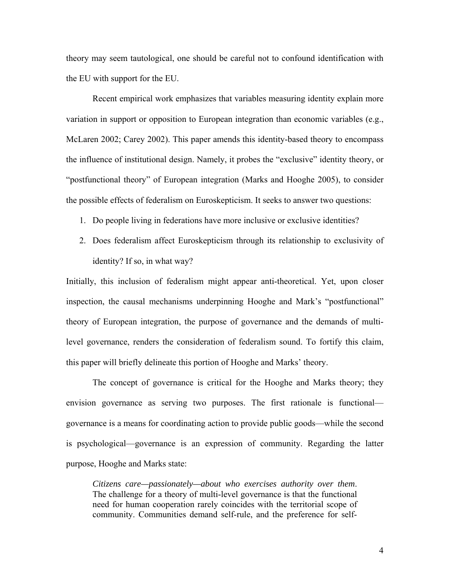theory may seem tautological, one should be careful not to confound identification with the EU with support for the EU.

Recent empirical work emphasizes that variables measuring identity explain more variation in support or opposition to European integration than economic variables (e.g., McLaren 2002; Carey 2002). This paper amends this identity-based theory to encompass the influence of institutional design. Namely, it probes the "exclusive" identity theory, or "postfunctional theory" of European integration (Marks and Hooghe 2005), to consider the possible effects of federalism on Euroskepticism. It seeks to answer two questions:

- 1. Do people living in federations have more inclusive or exclusive identities?
- 2. Does federalism affect Euroskepticism through its relationship to exclusivity of identity? If so, in what way?

Initially, this inclusion of federalism might appear anti-theoretical. Yet, upon closer inspection, the causal mechanisms underpinning Hooghe and Mark's "postfunctional" theory of European integration, the purpose of governance and the demands of multilevel governance, renders the consideration of federalism sound. To fortify this claim, this paper will briefly delineate this portion of Hooghe and Marks' theory.

The concept of governance is critical for the Hooghe and Marks theory; they envision governance as serving two purposes. The first rationale is functional governance is a means for coordinating action to provide public goods—while the second is psychological—governance is an expression of community. Regarding the latter purpose, Hooghe and Marks state:

*Citizens care—passionately—about who exercises authority over them*. The challenge for a theory of multi-level governance is that the functional need for human cooperation rarely coincides with the territorial scope of community. Communities demand self-rule, and the preference for self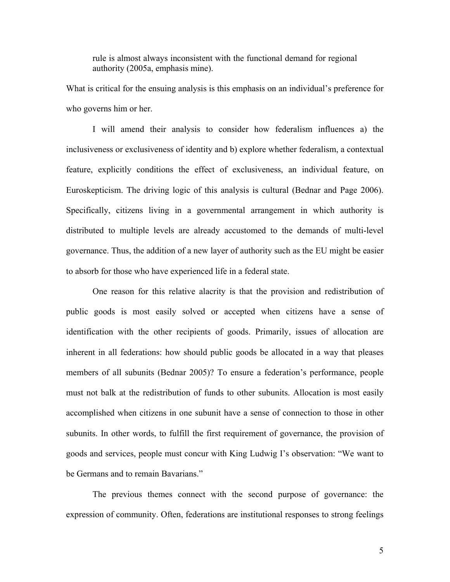rule is almost always inconsistent with the functional demand for regional authority (2005a, emphasis mine).

What is critical for the ensuing analysis is this emphasis on an individual's preference for who governs him or her.

I will amend their analysis to consider how federalism influences a) the inclusiveness or exclusiveness of identity and b) explore whether federalism, a contextual feature, explicitly conditions the effect of exclusiveness, an individual feature, on Euroskepticism. The driving logic of this analysis is cultural (Bednar and Page 2006). Specifically, citizens living in a governmental arrangement in which authority is distributed to multiple levels are already accustomed to the demands of multi-level governance. Thus, the addition of a new layer of authority such as the EU might be easier to absorb for those who have experienced life in a federal state.

One reason for this relative alacrity is that the provision and redistribution of public goods is most easily solved or accepted when citizens have a sense of identification with the other recipients of goods. Primarily, issues of allocation are inherent in all federations: how should public goods be allocated in a way that pleases members of all subunits (Bednar 2005)? To ensure a federation's performance, people must not balk at the redistribution of funds to other subunits. Allocation is most easily accomplished when citizens in one subunit have a sense of connection to those in other subunits. In other words, to fulfill the first requirement of governance, the provision of goods and services, people must concur with King Ludwig I's observation: "We want to be Germans and to remain Bavarians."

The previous themes connect with the second purpose of governance: the expression of community. Often, federations are institutional responses to strong feelings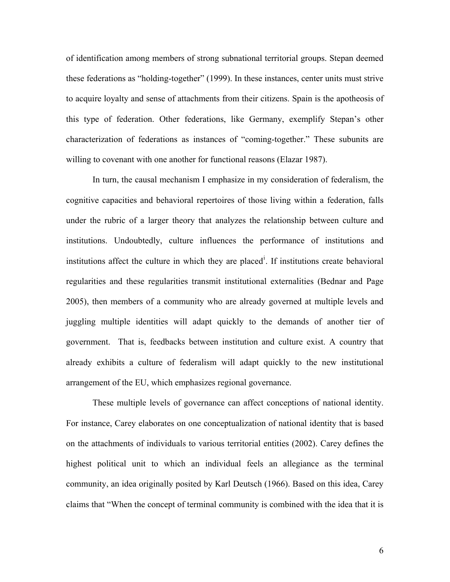of identification among members of strong subnational territorial groups. Stepan deemed these federations as "holding-together" (1999). In these instances, center units must strive to acquire loyalty and sense of attachments from their citizens. Spain is the apotheosis of this type of federation. Other federations, like Germany, exemplify Stepan's other characterization of federations as instances of "coming-together." These subunits are willing to covenant with one another for functional reasons (Elazar 1987).

In turn, the causal mechanism I emphasize in my consideration of federalism, the cognitive capacities and behavioral repertoires of those living within a federation, falls under the rubric of a larger theory that analyzes the relationship between culture and institutions. Undoubtedly, culture influences the performance of institutions and [i](#page-31-0)nstitutions affect the culture in which they are placed<sup>i</sup>. If institutions create behavioral regularities and these regularities transmit institutional externalities (Bednar and Page 2005), then members of a community who are already governed at multiple levels and juggling multiple identities will adapt quickly to the demands of another tier of government. That is, feedbacks between institution and culture exist. A country that already exhibits a culture of federalism will adapt quickly to the new institutional arrangement of the EU, which emphasizes regional governance.

These multiple levels of governance can affect conceptions of national identity. For instance, Carey elaborates on one conceptualization of national identity that is based on the attachments of individuals to various territorial entities (2002). Carey defines the highest political unit to which an individual feels an allegiance as the terminal community, an idea originally posited by Karl Deutsch (1966). Based on this idea, Carey claims that "When the concept of terminal community is combined with the idea that it is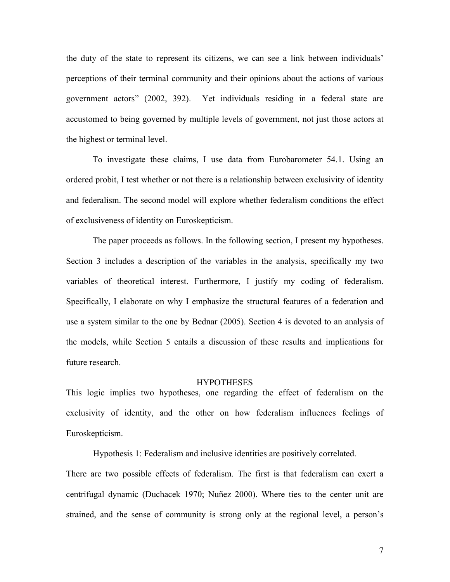the duty of the state to represent its citizens, we can see a link between individuals' perceptions of their terminal community and their opinions about the actions of various government actors" (2002, 392). Yet individuals residing in a federal state are accustomed to being governed by multiple levels of government, not just those actors at the highest or terminal level.

To investigate these claims, I use data from Eurobarometer 54.1. Using an ordered probit, I test whether or not there is a relationship between exclusivity of identity and federalism. The second model will explore whether federalism conditions the effect of exclusiveness of identity on Euroskepticism.

The paper proceeds as follows. In the following section, I present my hypotheses. Section 3 includes a description of the variables in the analysis, specifically my two variables of theoretical interest. Furthermore, I justify my coding of federalism. Specifically, I elaborate on why I emphasize the structural features of a federation and use a system similar to the one by Bednar (2005). Section 4 is devoted to an analysis of the models, while Section 5 entails a discussion of these results and implications for future research.

#### **HYPOTHESES**

This logic implies two hypotheses, one regarding the effect of federalism on the exclusivity of identity, and the other on how federalism influences feelings of Euroskepticism.

Hypothesis 1: Federalism and inclusive identities are positively correlated. There are two possible effects of federalism. The first is that federalism can exert a centrifugal dynamic (Duchacek 1970; Nuñez 2000). Where ties to the center unit are strained, and the sense of community is strong only at the regional level, a person's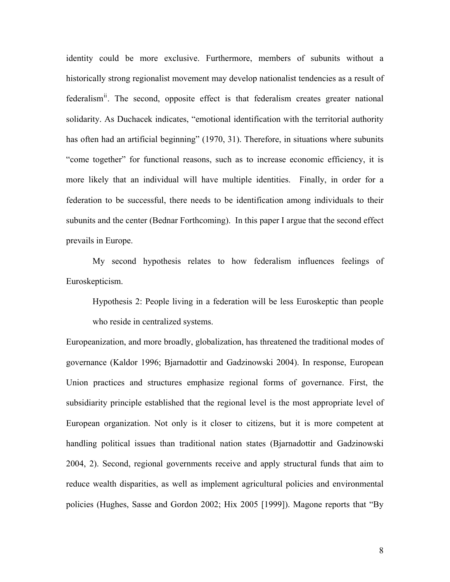identity could be more exclusive. Furthermore, members of subunits without a historically strong regionalist movement may develop nationalist tendencies as a result of federalism<sup>[ii](#page-31-1)</sup>. The second, opposite effect is that federalism creates greater national solidarity. As Duchacek indicates, "emotional identification with the territorial authority has often had an artificial beginning" (1970, 31). Therefore, in situations where subunits "come together" for functional reasons, such as to increase economic efficiency, it is more likely that an individual will have multiple identities. Finally, in order for a federation to be successful, there needs to be identification among individuals to their subunits and the center (Bednar Forthcoming). In this paper I argue that the second effect prevails in Europe.

My second hypothesis relates to how federalism influences feelings of Euroskepticism.

Hypothesis 2: People living in a federation will be less Euroskeptic than people who reside in centralized systems.

Europeanization, and more broadly, globalization, has threatened the traditional modes of governance (Kaldor 1996; Bjarnadottir and Gadzinowski 2004). In response, European Union practices and structures emphasize regional forms of governance. First, the subsidiarity principle established that the regional level is the most appropriate level of European organization. Not only is it closer to citizens, but it is more competent at handling political issues than traditional nation states (Bjarnadottir and Gadzinowski 2004, 2). Second, regional governments receive and apply structural funds that aim to reduce wealth disparities, as well as implement agricultural policies and environmental policies (Hughes, Sasse and Gordon 2002; Hix 2005 [1999]). Magone reports that "By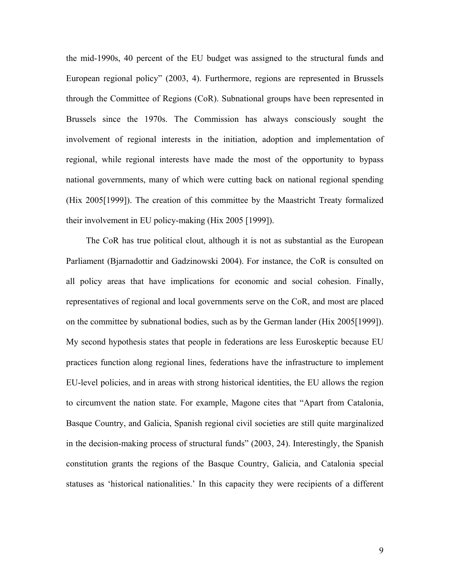the mid-1990s, 40 percent of the EU budget was assigned to the structural funds and European regional policy" (2003, 4). Furthermore, regions are represented in Brussels through the Committee of Regions (CoR). Subnational groups have been represented in Brussels since the 1970s. The Commission has always consciously sought the involvement of regional interests in the initiation, adoption and implementation of regional, while regional interests have made the most of the opportunity to bypass national governments, many of which were cutting back on national regional spending (Hix 2005[1999]). The creation of this committee by the Maastricht Treaty formalized their involvement in EU policy-making (Hix 2005 [1999]).

The CoR has true political clout, although it is not as substantial as the European Parliament (Bjarnadottir and Gadzinowski 2004). For instance, the CoR is consulted on all policy areas that have implications for economic and social cohesion. Finally, representatives of regional and local governments serve on the CoR, and most are placed on the committee by subnational bodies, such as by the German lander (Hix 2005[1999]). My second hypothesis states that people in federations are less Euroskeptic because EU practices function along regional lines, federations have the infrastructure to implement EU-level policies, and in areas with strong historical identities, the EU allows the region to circumvent the nation state. For example, Magone cites that "Apart from Catalonia, Basque Country, and Galicia, Spanish regional civil societies are still quite marginalized in the decision-making process of structural funds" (2003, 24). Interestingly, the Spanish constitution grants the regions of the Basque Country, Galicia, and Catalonia special statuses as 'historical nationalities.' In this capacity they were recipients of a different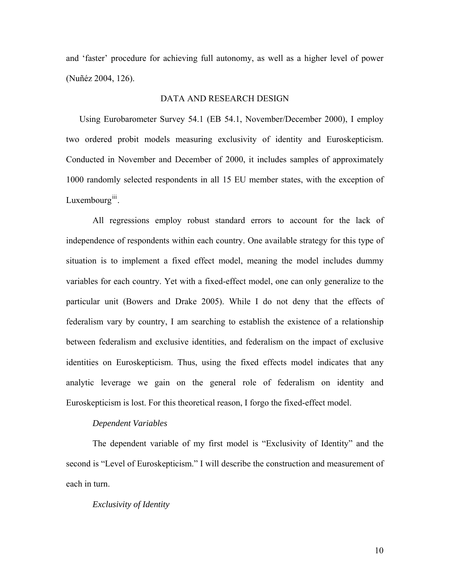and 'faster' procedure for achieving full autonomy, as well as a higher level of power (Nuñéz 2004, 126).

## DATA AND RESEARCH DESIGN

Using Eurobarometer Survey 54.1 (EB 54.1, November/December 2000), I employ two ordered probit models measuring exclusivity of identity and Euroskepticism. Conducted in November and December of 2000, it includes samples of approximately 1000 randomly selected respondents in all 15 EU member states, with the exception of Luxembourg $\mathbf{u}$ .

All regressions employ robust standard errors to account for the lack of independence of respondents within each country. One available strategy for this type of situation is to implement a fixed effect model, meaning the model includes dummy variables for each country. Yet with a fixed-effect model, one can only generalize to the particular unit (Bowers and Drake 2005). While I do not deny that the effects of federalism vary by country, I am searching to establish the existence of a relationship between federalism and exclusive identities, and federalism on the impact of exclusive identities on Euroskepticism. Thus, using the fixed effects model indicates that any analytic leverage we gain on the general role of federalism on identity and Euroskepticism is lost. For this theoretical reason, I forgo the fixed-effect model.

### *Dependent Variables*

The dependent variable of my first model is "Exclusivity of Identity" and the second is "Level of Euroskepticism." I will describe the construction and measurement of each in turn.

#### *Exclusivity of Identity*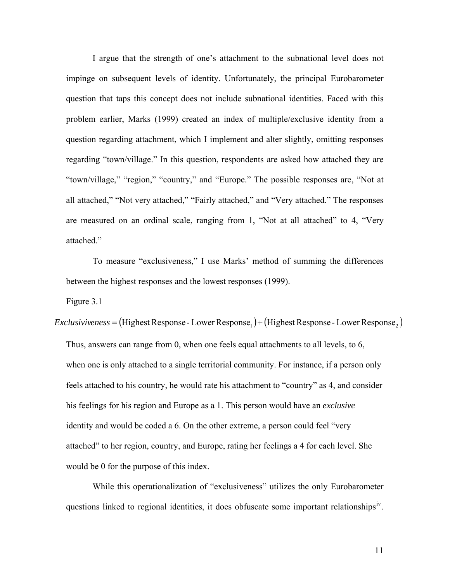I argue that the strength of one's attachment to the subnational level does not impinge on subsequent levels of identity. Unfortunately, the principal Eurobarometer question that taps this concept does not include subnational identities. Faced with this problem earlier, Marks (1999) created an index of multiple/exclusive identity from a question regarding attachment, which I implement and alter slightly, omitting responses regarding "town/village." In this question, respondents are asked how attached they are "town/village," "region," "country," and "Europe." The possible responses are, "Not at all attached," "Not very attached," "Fairly attached," and "Very attached." The responses are measured on an ordinal scale, ranging from 1, "Not at all attached" to 4, "Very attached."

To measure "exclusiveness," I use Marks' method of summing the differences between the highest responses and the lowest responses (1999).

Figure 3.1

*Exclusiviveness* = (Highest Response - Lower Response<sub>1</sub>) + (Highest Response - Lower Response<sub>2</sub>) Thus, answers can range from 0, when one feels equal attachments to all levels, to 6, when one is only attached to a single territorial community. For instance, if a person only feels attached to his country, he would rate his attachment to "country" as 4, and consider his feelings for his region and Europe as a 1. This person would have an *exclusive* identity and would be coded a 6. On the other extreme, a person could feel "very attached" to her region, country, and Europe, rating her feelings a 4 for each level. She would be 0 for the purpose of this index.

While this operationalization of "exclusiveness" utilizes the only Eurobarometer questions linked to regional identities, it does obfuscate some important relationships<sup> $W$ </sup>.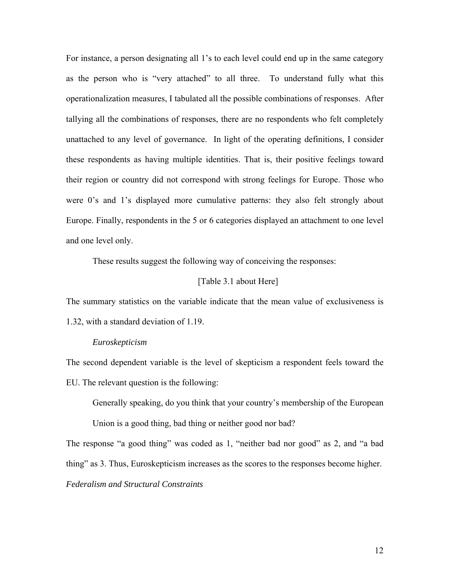For instance, a person designating all 1's to each level could end up in the same category as the person who is "very attached" to all three. To understand fully what this operationalization measures, I tabulated all the possible combinations of responses. After tallying all the combinations of responses, there are no respondents who felt completely unattached to any level of governance. In light of the operating definitions, I consider these respondents as having multiple identities. That is, their positive feelings toward their region or country did not correspond with strong feelings for Europe. Those who were 0's and 1's displayed more cumulative patterns: they also felt strongly about Europe. Finally, respondents in the 5 or 6 categories displayed an attachment to one level and one level only.

These results suggest the following way of conceiving the responses:

## [Table 3.1 about Here]

The summary statistics on the variable indicate that the mean value of exclusiveness is 1.32, with a standard deviation of 1.19.

### *Euroskepticism*

The second dependent variable is the level of skepticism a respondent feels toward the EU. The relevant question is the following:

Generally speaking, do you think that your country's membership of the European

Union is a good thing, bad thing or neither good nor bad?

The response "a good thing" was coded as 1, "neither bad nor good" as 2, and "a bad thing" as 3. Thus, Euroskepticism increases as the scores to the responses become higher. *Federalism and Structural Constraints*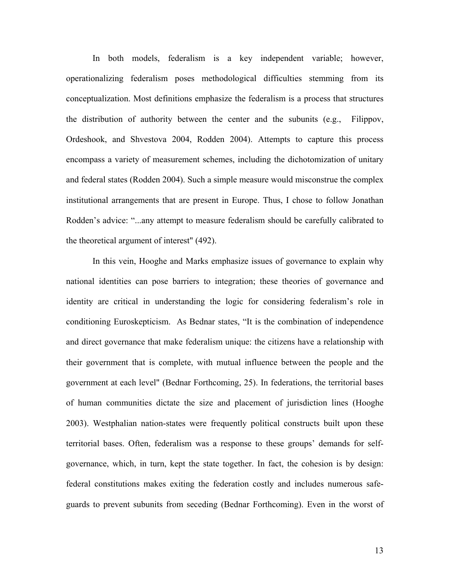In both models, federalism is a key independent variable; however, operationalizing federalism poses methodological difficulties stemming from its conceptualization. Most definitions emphasize the federalism is a process that structures the distribution of authority between the center and the subunits (e.g., Filippov, Ordeshook, and Shvestova 2004, Rodden 2004). Attempts to capture this process encompass a variety of measurement schemes, including the dichotomization of unitary and federal states (Rodden 2004). Such a simple measure would misconstrue the complex institutional arrangements that are present in Europe. Thus, I chose to follow Jonathan Rodden's advice: "...any attempt to measure federalism should be carefully calibrated to the theoretical argument of interest" (492).

In this vein, Hooghe and Marks emphasize issues of governance to explain why national identities can pose barriers to integration; these theories of governance and identity are critical in understanding the logic for considering federalism's role in conditioning Euroskepticism. As Bednar states, "It is the combination of independence and direct governance that make federalism unique: the citizens have a relationship with their government that is complete, with mutual influence between the people and the government at each level" (Bednar Forthcoming, 25). In federations, the territorial bases of human communities dictate the size and placement of jurisdiction lines (Hooghe 2003). Westphalian nation-states were frequently political constructs built upon these territorial bases. Often, federalism was a response to these groups' demands for selfgovernance, which, in turn, kept the state together. In fact, the cohesion is by design: federal constitutions makes exiting the federation costly and includes numerous safeguards to prevent subunits from seceding (Bednar Forthcoming). Even in the worst of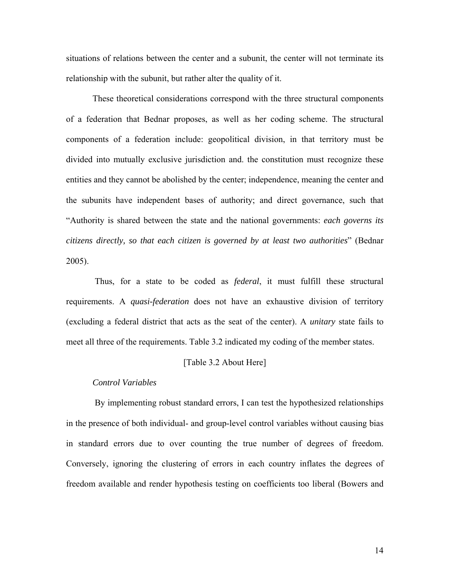situations of relations between the center and a subunit, the center will not terminate its relationship with the subunit, but rather alter the quality of it.

These theoretical considerations correspond with the three structural components of a federation that Bednar proposes, as well as her coding scheme. The structural components of a federation include: geopolitical division, in that territory must be divided into mutually exclusive jurisdiction and. the constitution must recognize these entities and they cannot be abolished by the center; independence, meaning the center and the subunits have independent bases of authority; and direct governance, such that "Authority is shared between the state and the national governments: *each governs its citizens directly, so that each citizen is governed by at least two authorities*" (Bednar 2005).

 Thus, for a state to be coded as *federal*, it must fulfill these structural requirements. A *quasi-federation* does not have an exhaustive division of territory (excluding a federal district that acts as the seat of the center). A *unitary* state fails to meet all three of the requirements. Table 3.2 indicated my coding of the member states.

## [Table 3.2 About Here]

### *Control Variables*

 By implementing robust standard errors, I can test the hypothesized relationships in the presence of both individual- and group-level control variables without causing bias in standard errors due to over counting the true number of degrees of freedom. Conversely, ignoring the clustering of errors in each country inflates the degrees of freedom available and render hypothesis testing on coefficients too liberal (Bowers and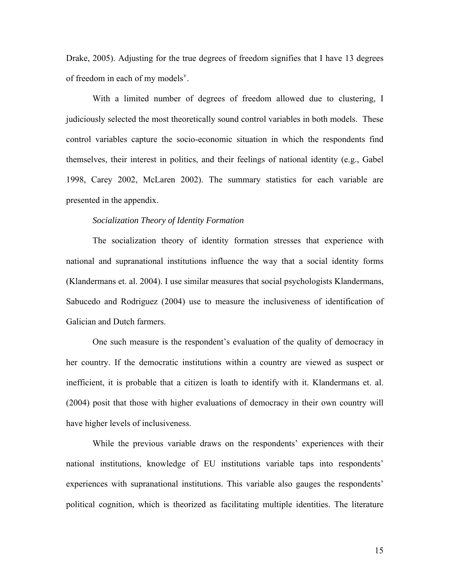Drake, 2005). Adjusting for the true degrees of freedom signifies that I have 13 degrees of freedom in each of my models<sup>[v](#page-31-1)</sup>.

With a limited number of degrees of freedom allowed due to clustering, I judiciously selected the most theoretically sound control variables in both models. These control variables capture the socio-economic situation in which the respondents find themselves, their interest in politics, and their feelings of national identity (e.g., Gabel 1998, Carey 2002, McLaren 2002). The summary statistics for each variable are presented in the appendix.

### *Socialization Theory of Identity Formation*

The socialization theory of identity formation stresses that experience with national and supranational institutions influence the way that a social identity forms (Klandermans et. al. 2004). I use similar measures that social psychologists Klandermans, Sabucedo and Rodriguez (2004) use to measure the inclusiveness of identification of Galician and Dutch farmers.

One such measure is the respondent's evaluation of the quality of democracy in her country. If the democratic institutions within a country are viewed as suspect or inefficient, it is probable that a citizen is loath to identify with it. Klandermans et. al. (2004) posit that those with higher evaluations of democracy in their own country will have higher levels of inclusiveness.

While the previous variable draws on the respondents' experiences with their national institutions, knowledge of EU institutions variable taps into respondents' experiences with supranational institutions. This variable also gauges the respondents' political cognition, which is theorized as facilitating multiple identities. The literature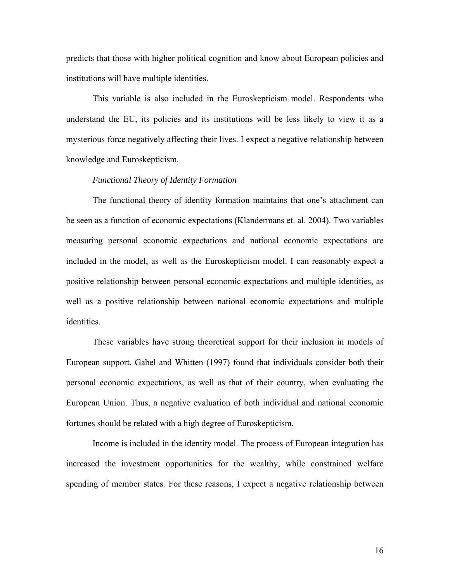predicts that those with higher political cognition and know about European policies and institutions will have multiple identities.

This variable is also included in the Euroskepticism model. Respondents who understand the EU, its policies and its institutions will be less likely to view it as a mysterious force negatively affecting their lives. I expect a negative relationship between knowledge and Euroskepticism.

## *Functional Theory of Identity Formation*

The functional theory of identity formation maintains that one's attachment can be seen as a function of economic expectations (Klandermans et. al. 2004). Two variables measuring personal economic expectations and national economic expectations are included in the model, as well as the Euroskepticism model. I can reasonably expect a positive relationship between personal economic expectations and multiple identities, as well as a positive relationship between national economic expectations and multiple identities.

These variables have strong theoretical support for their inclusion in models of European support. Gabel and Whitten (1997) found that individuals consider both their personal economic expectations, as well as that of their country, when evaluating the European Union. Thus, a negative evaluation of both individual and national economic fortunes should be related with a high degree of Euroskepticism.

Income is included in the identity model. The process of European integration has increased the investment opportunities for the wealthy, while constrained welfare spending of member states. For these reasons, I expect a negative relationship between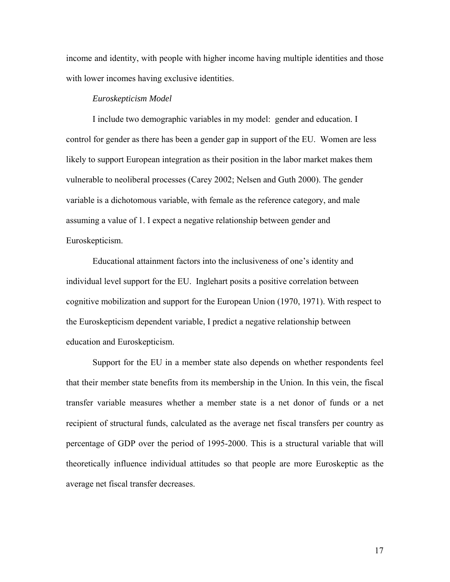income and identity, with people with higher income having multiple identities and those with lower incomes having exclusive identities.

#### *Euroskepticism Model*

I include two demographic variables in my model: gender and education. I control for gender as there has been a gender gap in support of the EU. Women are less likely to support European integration as their position in the labor market makes them vulnerable to neoliberal processes (Carey 2002; Nelsen and Guth 2000). The gender variable is a dichotomous variable, with female as the reference category, and male assuming a value of 1. I expect a negative relationship between gender and Euroskepticism.

Educational attainment factors into the inclusiveness of one's identity and individual level support for the EU. Inglehart posits a positive correlation between cognitive mobilization and support for the European Union (1970, 1971). With respect to the Euroskepticism dependent variable, I predict a negative relationship between education and Euroskepticism.

Support for the EU in a member state also depends on whether respondents feel that their member state benefits from its membership in the Union. In this vein, the fiscal transfer variable measures whether a member state is a net donor of funds or a net recipient of structural funds, calculated as the average net fiscal transfers per country as percentage of GDP over the period of 1995-2000. This is a structural variable that will theoretically influence individual attitudes so that people are more Euroskeptic as the average net fiscal transfer decreases.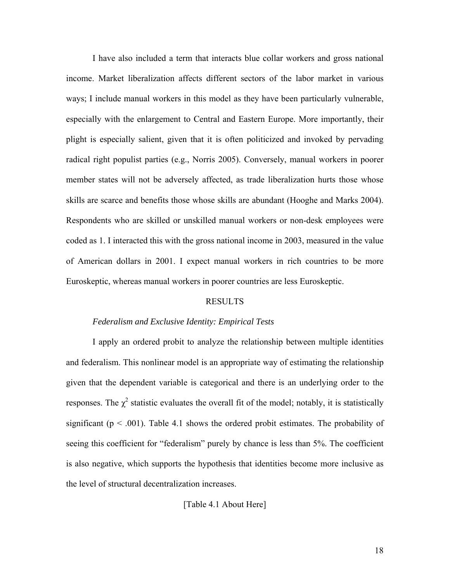I have also included a term that interacts blue collar workers and gross national income. Market liberalization affects different sectors of the labor market in various ways; I include manual workers in this model as they have been particularly vulnerable, especially with the enlargement to Central and Eastern Europe. More importantly, their plight is especially salient, given that it is often politicized and invoked by pervading radical right populist parties (e.g., Norris 2005). Conversely, manual workers in poorer member states will not be adversely affected, as trade liberalization hurts those whose skills are scarce and benefits those whose skills are abundant (Hooghe and Marks 2004). Respondents who are skilled or unskilled manual workers or non-desk employees were coded as 1. I interacted this with the gross national income in 2003, measured in the value of American dollars in 2001. I expect manual workers in rich countries to be more Euroskeptic, whereas manual workers in poorer countries are less Euroskeptic.

#### RESULTS

#### *Federalism and Exclusive Identity: Empirical Tests*

I apply an ordered probit to analyze the relationship between multiple identities and federalism. This nonlinear model is an appropriate way of estimating the relationship given that the dependent variable is categorical and there is an underlying order to the responses. The  $\chi^2$  statistic evaluates the overall fit of the model; notably, it is statistically significant ( $p < .001$ ). Table 4.1 shows the ordered probit estimates. The probability of seeing this coefficient for "federalism" purely by chance is less than 5%. The coefficient is also negative, which supports the hypothesis that identities become more inclusive as the level of structural decentralization increases.

[Table 4.1 About Here]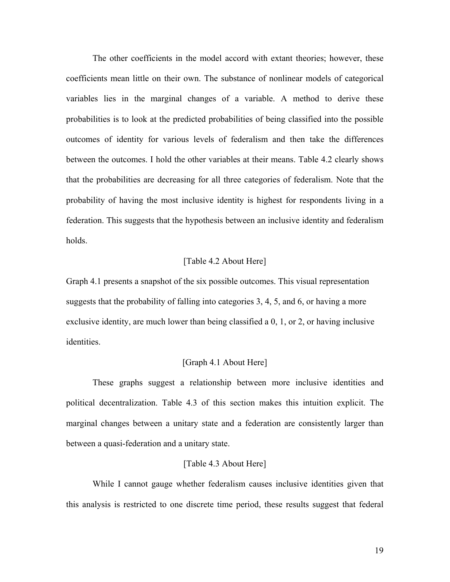The other coefficients in the model accord with extant theories; however, these coefficients mean little on their own. The substance of nonlinear models of categorical variables lies in the marginal changes of a variable. A method to derive these probabilities is to look at the predicted probabilities of being classified into the possible outcomes of identity for various levels of federalism and then take the differences between the outcomes. I hold the other variables at their means. Table 4.2 clearly shows that the probabilities are decreasing for all three categories of federalism. Note that the probability of having the most inclusive identity is highest for respondents living in a federation. This suggests that the hypothesis between an inclusive identity and federalism holds.

## [Table 4.2 About Here]

Graph 4.1 presents a snapshot of the six possible outcomes. This visual representation suggests that the probability of falling into categories 3, 4, 5, and 6, or having a more exclusive identity, are much lower than being classified a 0, 1, or 2, or having inclusive identities.

#### [Graph 4.1 About Here]

These graphs suggest a relationship between more inclusive identities and political decentralization. Table 4.3 of this section makes this intuition explicit. The marginal changes between a unitary state and a federation are consistently larger than between a quasi-federation and a unitary state.

#### [Table 4.3 About Here]

While I cannot gauge whether federalism causes inclusive identities given that this analysis is restricted to one discrete time period, these results suggest that federal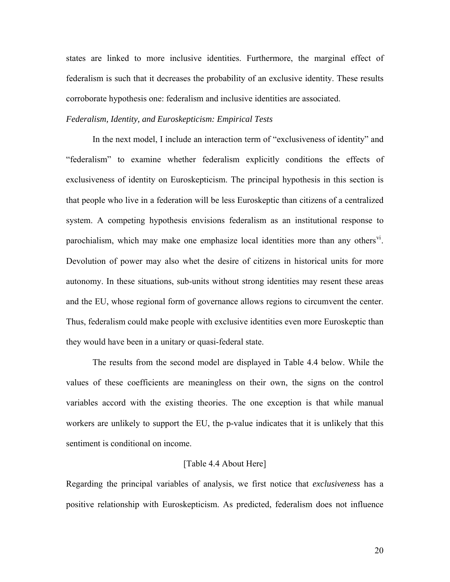states are linked to more inclusive identities. Furthermore, the marginal effect of federalism is such that it decreases the probability of an exclusive identity. These results corroborate hypothesis one: federalism and inclusive identities are associated.

## *Federalism, Identity, and Euroskepticism: Empirical Tests*

In the next model, I include an interaction term of "exclusiveness of identity" and "federalism" to examine whether federalism explicitly conditions the effects of exclusiveness of identity on Euroskepticism. The principal hypothesis in this section is that people who live in a federation will be less Euroskeptic than citizens of a centralized system. A competing hypothesis envisions federalism as an institutional response to parochialism, which may make one emphasize local identities more than any others<sup>y</sup>. Devolution of power may also whet the desire of citizens in historical units for more autonomy. In these situations, sub-units without strong identities may resent these areas and the EU, whose regional form of governance allows regions to circumvent the center. Thus, federalism could make people with exclusive identities even more Euroskeptic than they would have been in a unitary or quasi-federal state.

The results from the second model are displayed in Table 4.4 below. While the values of these coefficients are meaningless on their own, the signs on the control variables accord with the existing theories. The one exception is that while manual workers are unlikely to support the EU, the p-value indicates that it is unlikely that this sentiment is conditional on income.

#### [Table 4.4 About Here]

Regarding the principal variables of analysis, we first notice that *exclusiveness* has a positive relationship with Euroskepticism. As predicted, federalism does not influence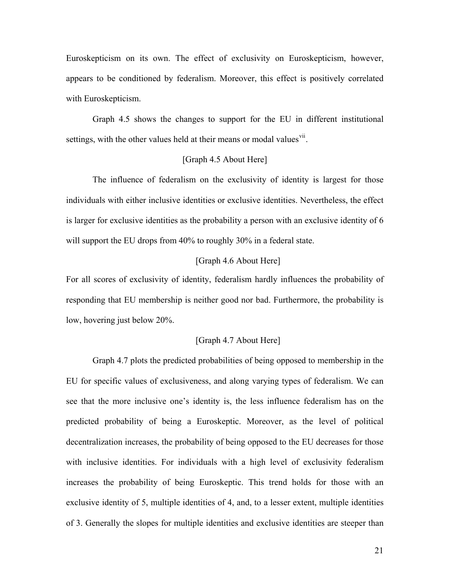Euroskepticism on its own. The effect of exclusivity on Euroskepticism, however, appears to be conditioned by federalism. Moreover, this effect is positively correlated with Euroskepticism.

Graph 4.5 shows the changes to support for the EU in different institutional settings, with the other values held at their means or modal values<sup>[vii](#page-31-1)</sup>.

## [Graph 4.5 About Here]

The influence of federalism on the exclusivity of identity is largest for those individuals with either inclusive identities or exclusive identities. Nevertheless, the effect is larger for exclusive identities as the probability a person with an exclusive identity of 6 will support the EU drops from 40% to roughly 30% in a federal state.

## [Graph 4.6 About Here]

For all scores of exclusivity of identity, federalism hardly influences the probability of responding that EU membership is neither good nor bad. Furthermore, the probability is low, hovering just below 20%.

### [Graph 4.7 About Here]

Graph 4.7 plots the predicted probabilities of being opposed to membership in the EU for specific values of exclusiveness, and along varying types of federalism. We can see that the more inclusive one's identity is, the less influence federalism has on the predicted probability of being a Euroskeptic. Moreover, as the level of political decentralization increases, the probability of being opposed to the EU decreases for those with inclusive identities. For individuals with a high level of exclusivity federalism increases the probability of being Euroskeptic. This trend holds for those with an exclusive identity of 5, multiple identities of 4, and, to a lesser extent, multiple identities of 3. Generally the slopes for multiple identities and exclusive identities are steeper than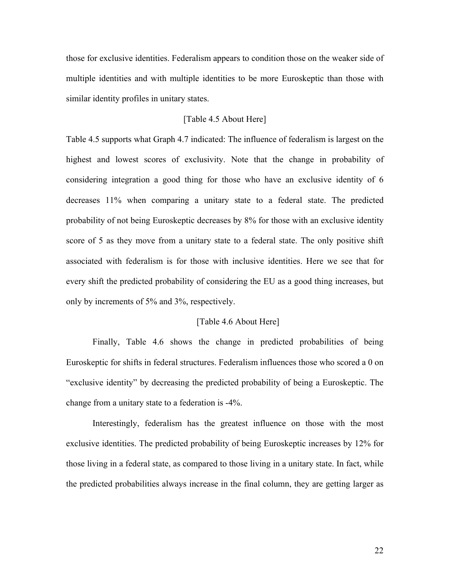those for exclusive identities. Federalism appears to condition those on the weaker side of multiple identities and with multiple identities to be more Euroskeptic than those with similar identity profiles in unitary states.

## [Table 4.5 About Here]

Table 4.5 supports what Graph 4.7 indicated: The influence of federalism is largest on the highest and lowest scores of exclusivity. Note that the change in probability of considering integration a good thing for those who have an exclusive identity of 6 decreases 11% when comparing a unitary state to a federal state. The predicted probability of not being Euroskeptic decreases by 8% for those with an exclusive identity score of 5 as they move from a unitary state to a federal state. The only positive shift associated with federalism is for those with inclusive identities. Here we see that for every shift the predicted probability of considering the EU as a good thing increases, but only by increments of 5% and 3%, respectively.

### [Table 4.6 About Here]

Finally, Table 4.6 shows the change in predicted probabilities of being Euroskeptic for shifts in federal structures. Federalism influences those who scored a 0 on "exclusive identity" by decreasing the predicted probability of being a Euroskeptic. The change from a unitary state to a federation is -4%.

Interestingly, federalism has the greatest influence on those with the most exclusive identities. The predicted probability of being Euroskeptic increases by 12% for those living in a federal state, as compared to those living in a unitary state. In fact, while the predicted probabilities always increase in the final column, they are getting larger as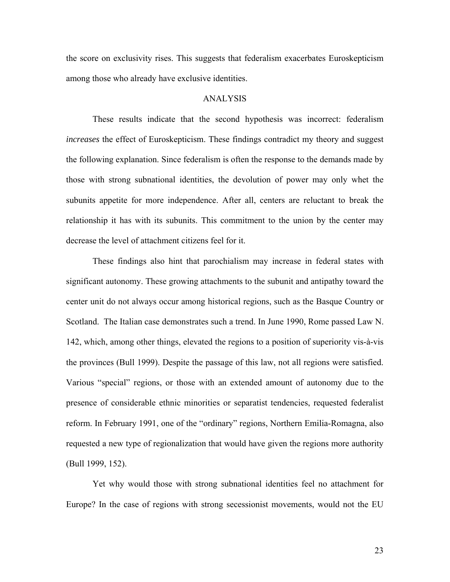the score on exclusivity rises. This suggests that federalism exacerbates Euroskepticism among those who already have exclusive identities.

## ANALYSIS

These results indicate that the second hypothesis was incorrect: federalism *increases* the effect of Euroskepticism. These findings contradict my theory and suggest the following explanation. Since federalism is often the response to the demands made by those with strong subnational identities, the devolution of power may only whet the subunits appetite for more independence. After all, centers are reluctant to break the relationship it has with its subunits. This commitment to the union by the center may decrease the level of attachment citizens feel for it.

These findings also hint that parochialism may increase in federal states with significant autonomy. These growing attachments to the subunit and antipathy toward the center unit do not always occur among historical regions, such as the Basque Country or Scotland. The Italian case demonstrates such a trend. In June 1990, Rome passed Law N. 142, which, among other things, elevated the regions to a position of superiority vis-à-vis the provinces (Bull 1999). Despite the passage of this law, not all regions were satisfied. Various "special" regions, or those with an extended amount of autonomy due to the presence of considerable ethnic minorities or separatist tendencies, requested federalist reform. In February 1991, one of the "ordinary" regions, Northern Emilia-Romagna, also requested a new type of regionalization that would have given the regions more authority (Bull 1999, 152).

Yet why would those with strong subnational identities feel no attachment for Europe? In the case of regions with strong secessionist movements, would not the EU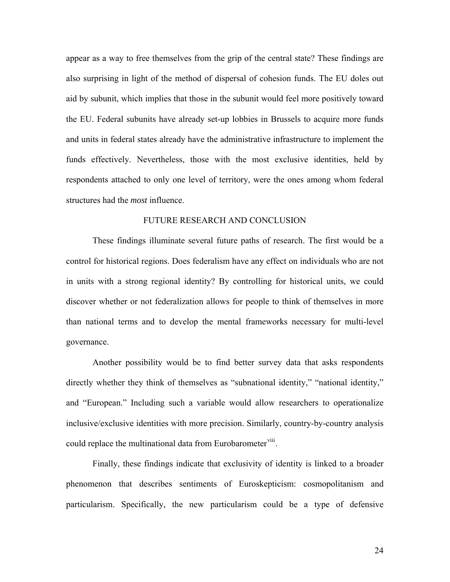appear as a way to free themselves from the grip of the central state? These findings are also surprising in light of the method of dispersal of cohesion funds. The EU doles out aid by subunit, which implies that those in the subunit would feel more positively toward the EU. Federal subunits have already set-up lobbies in Brussels to acquire more funds and units in federal states already have the administrative infrastructure to implement the funds effectively. Nevertheless, those with the most exclusive identities, held by respondents attached to only one level of territory, were the ones among whom federal structures had the *most* influence.

### FUTURE RESEARCH AND CONCLUSION

These findings illuminate several future paths of research. The first would be a control for historical regions. Does federalism have any effect on individuals who are not in units with a strong regional identity? By controlling for historical units, we could discover whether or not federalization allows for people to think of themselves in more than national terms and to develop the mental frameworks necessary for multi-level governance.

Another possibility would be to find better survey data that asks respondents directly whether they think of themselves as "subnational identity," "national identity," and "European." Including such a variable would allow researchers to operationalize inclusive/exclusive identities with more precision. Similarly, country-by-country analysis could replace the multinational data from Eurobarometer<sup>[viii](#page-31-1)</sup>.

Finally, these findings indicate that exclusivity of identity is linked to a broader phenomenon that describes sentiments of Euroskepticism: cosmopolitanism and particularism. Specifically, the new particularism could be a type of defensive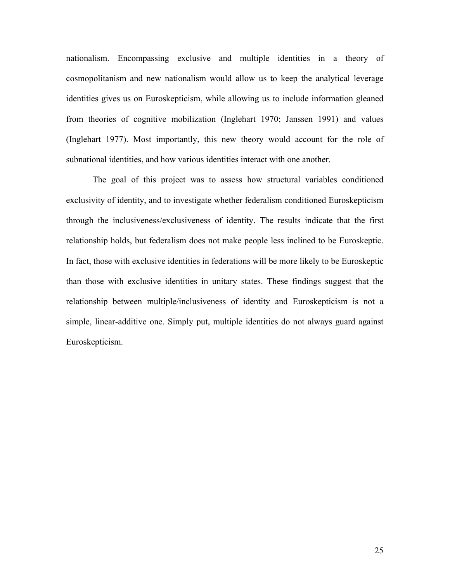nationalism. Encompassing exclusive and multiple identities in a theory of cosmopolitanism and new nationalism would allow us to keep the analytical leverage identities gives us on Euroskepticism, while allowing us to include information gleaned from theories of cognitive mobilization (Inglehart 1970; Janssen 1991) and values (Inglehart 1977). Most importantly, this new theory would account for the role of subnational identities, and how various identities interact with one another.

The goal of this project was to assess how structural variables conditioned exclusivity of identity, and to investigate whether federalism conditioned Euroskepticism through the inclusiveness/exclusiveness of identity. The results indicate that the first relationship holds, but federalism does not make people less inclined to be Euroskeptic. In fact, those with exclusive identities in federations will be more likely to be Euroskeptic than those with exclusive identities in unitary states. These findings suggest that the relationship between multiple/inclusiveness of identity and Euroskepticism is not a simple, linear-additive one. Simply put, multiple identities do not always guard against Euroskepticism.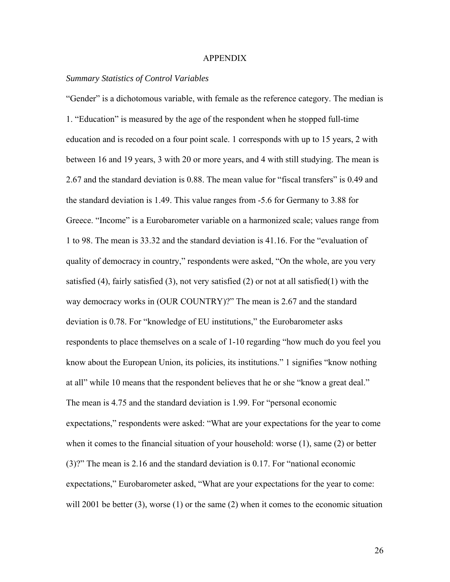#### APPENDIX

### *Summary Statistics of Control Variables*

"Gender" is a dichotomous variable, with female as the reference category. The median is 1. "Education" is measured by the age of the respondent when he stopped full-time education and is recoded on a four point scale. 1 corresponds with up to 15 years, 2 with between 16 and 19 years, 3 with 20 or more years, and 4 with still studying. The mean is 2.67 and the standard deviation is 0.88. The mean value for "fiscal transfers" is 0.49 and the standard deviation is 1.49. This value ranges from -5.6 for Germany to 3.88 for Greece. "Income" is a Eurobarometer variable on a harmonized scale; values range from 1 to 98. The mean is 33.32 and the standard deviation is 41.16. For the "evaluation of quality of democracy in country," respondents were asked, "On the whole, are you very satisfied (4), fairly satisfied (3), not very satisfied (2) or not at all satisfied (1) with the way democracy works in (OUR COUNTRY)?" The mean is 2.67 and the standard deviation is 0.78. For "knowledge of EU institutions," the Eurobarometer asks respondents to place themselves on a scale of 1-10 regarding "how much do you feel you know about the European Union, its policies, its institutions." 1 signifies "know nothing at all" while 10 means that the respondent believes that he or she "know a great deal." The mean is 4.75 and the standard deviation is 1.99. For "personal economic expectations," respondents were asked: "What are your expectations for the year to come when it comes to the financial situation of your household: worse (1), same (2) or better (3)?" The mean is 2.16 and the standard deviation is 0.17. For "national economic expectations," Eurobarometer asked, "What are your expectations for the year to come: will 2001 be better  $(3)$ , worse  $(1)$  or the same  $(2)$  when it comes to the economic situation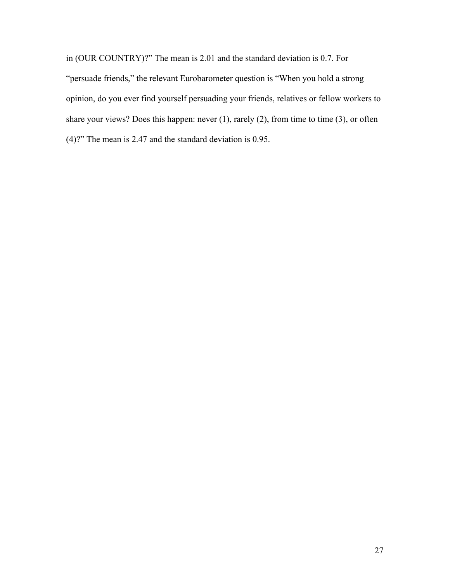in (OUR COUNTRY)?" The mean is 2.01 and the standard deviation is 0.7. For "persuade friends," the relevant Eurobarometer question is "When you hold a strong opinion, do you ever find yourself persuading your friends, relatives or fellow workers to share your views? Does this happen: never (1), rarely (2), from time to time (3), or often (4)?" The mean is 2.47 and the standard deviation is 0.95.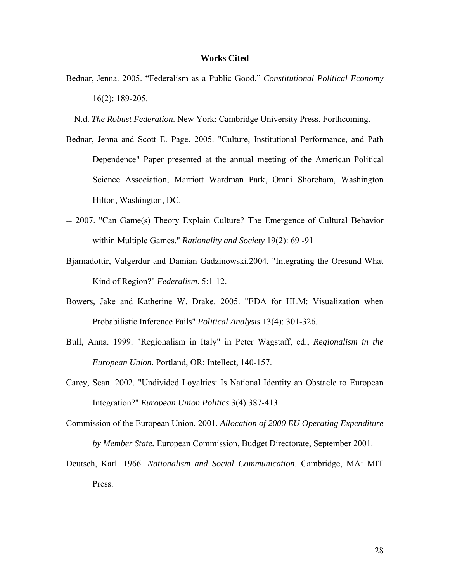#### **Works Cited**

- Bednar, Jenna. 2005. "Federalism as a Public Good." *Constitutional Political Economy* 16(2): 189-205.
- -- N.d. *The Robust Federation*. New York: Cambridge University Press. Forthcoming.
- Bednar, Jenna and Scott E. Page. 2005. "Culture, Institutional Performance, and Path Dependence" Paper presented at the annual meeting of the American Political Science Association, Marriott Wardman Park, Omni Shoreham, Washington Hilton, Washington, DC.
- -- 2007. "Can Game(s) Theory Explain Culture? The Emergence of Cultural Behavior within Multiple Games." *Rationality and Society* 19(2): 69 -91
- Bjarnadottir, Valgerdur and Damian Gadzinowski.2004. "Integrating the Oresund-What Kind of Region?" *Federalism*. 5:1-12.
- Bowers, Jake and Katherine W. Drake. 2005. "EDA for HLM: Visualization when Probabilistic Inference Fails" *Political Analysis* 13(4): 301-326.
- Bull, Anna. 1999. "Regionalism in Italy" in Peter Wagstaff, ed., *Regionalism in the European Union*. Portland, OR: Intellect, 140-157.
- Carey, Sean. 2002. "Undivided Loyalties: Is National Identity an Obstacle to European Integration?" *European Union Politics* 3(4):387-413.
- Commission of the European Union. 2001. *Allocation of 2000 EU Operating Expenditure by Member State.* European Commission, Budget Directorate, September 2001.
- Deutsch, Karl. 1966. *Nationalism and Social Communication*. Cambridge, MA: MIT Press.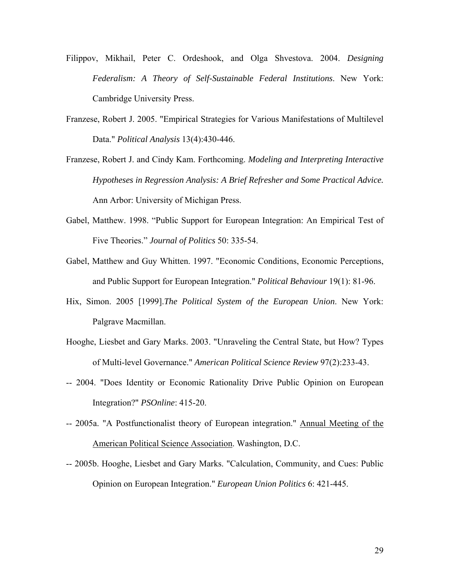- Filippov, Mikhail, Peter C. Ordeshook, and Olga Shvestova. 2004. *Designing Federalism: A Theory of Self-Sustainable Federal Institutions*. New York: Cambridge University Press.
- Franzese, Robert J. 2005. "Empirical Strategies for Various Manifestations of Multilevel Data." *Political Analysis* 13(4):430-446.
- Franzese, Robert J. and Cindy Kam. Forthcoming. *Modeling and Interpreting Interactive Hypotheses in Regression Analysis: A Brief Refresher and Some Practical Advice.* Ann Arbor: University of Michigan Press.
- Gabel, Matthew. 1998. "Public Support for European Integration: An Empirical Test of Five Theories." *Journal of Politics* 50: 335-54.
- Gabel, Matthew and Guy Whitten. 1997. "Economic Conditions, Economic Perceptions, and Public Support for European Integration." *Political Behaviour* 19(1): 81-96.
- Hix, Simon. 2005 [1999].*The Political System of the European Union*. New York: Palgrave Macmillan.
- Hooghe, Liesbet and Gary Marks. 2003. "Unraveling the Central State, but How? Types of Multi-level Governance." *American Political Science Review* 97(2):233-43.
- -- 2004. "Does Identity or Economic Rationality Drive Public Opinion on European Integration?" *PSOnline*: 415-20.
- -- 2005a. "A Postfunctionalist theory of European integration." Annual Meeting of the American Political Science Association. Washington, D.C.
- -- 2005b. Hooghe, Liesbet and Gary Marks. "Calculation, Community, and Cues: Public Opinion on European Integration." *European Union Politics* 6: 421-445.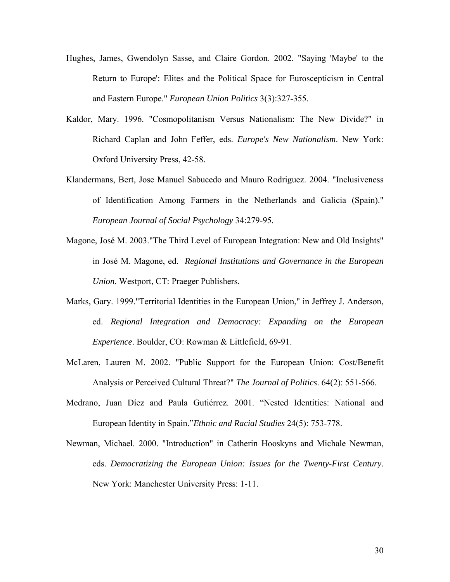- Hughes, James, Gwendolyn Sasse, and Claire Gordon. 2002. "Saying 'Maybe' to the Return to Europe': Elites and the Political Space for Euroscepticism in Central and Eastern Europe." *European Union Politics* 3(3):327-355.
- Kaldor, Mary. 1996. "Cosmopolitanism Versus Nationalism: The New Divide?" in Richard Caplan and John Feffer, eds. *Europe's New Nationalism*. New York: Oxford University Press, 42-58.
- Klandermans, Bert, Jose Manuel Sabucedo and Mauro Rodriguez. 2004. "Inclusiveness of Identification Among Farmers in the Netherlands and Galicia (Spain)." *European Journal of Social Psychology* 34:279-95.
- Magone, José M. 2003."The Third Level of European Integration: New and Old Insights" in José M. Magone, ed. *Regional Institutions and Governance in the European Union*. Westport, CT: Praeger Publishers.
- Marks, Gary. 1999."Territorial Identities in the European Union," in Jeffrey J. Anderson, ed. *Regional Integration and Democracy: Expanding on the European Experience*. Boulder, CO: Rowman & Littlefield, 69-91.
- McLaren, Lauren M. 2002. "Public Support for the European Union: Cost/Benefit Analysis or Perceived Cultural Threat?" *The Journal of Politics*. 64(2): 551-566.
- Medrano, Juan Díez and Paula Gutiérrez. 2001. "Nested Identities: National and European Identity in Spain."*Ethnic and Racial Studies* 24(5): 753-778.
- Newman, Michael. 2000. "Introduction" in Catherin Hooskyns and Michale Newman, eds. *Democratizing the European Union: Issues for the Twenty-First Century*. New York: Manchester University Press: 1-11.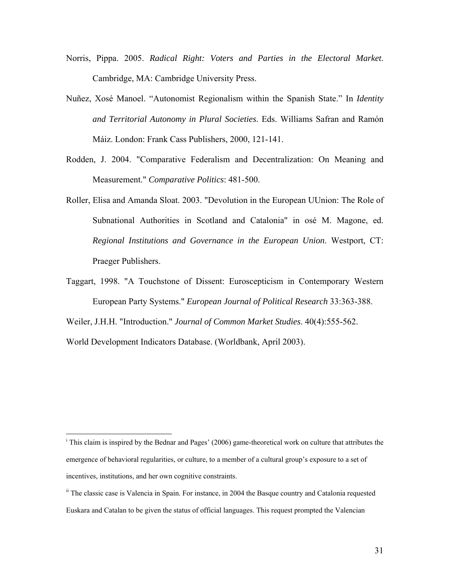- Norris, Pippa. 2005. *Radical Right: Voters and Parties in the Electoral Market*. Cambridge, MA: Cambridge University Press.
- Nuñez, Xosé Manoel. "Autonomist Regionalism within the Spanish State." In *Identity and Territorial Autonomy in Plural Societies*. Eds. Williams Safran and Ramón Máiz. London: Frank Cass Publishers, 2000, 121-141.
- Rodden, J. 2004. "Comparative Federalism and Decentralization: On Meaning and Measurement." *Comparative Politics*: 481-500.
- Roller, Elisa and Amanda Sloat. 2003. "Devolution in the European UUnion: The Role of Subnational Authorities in Scotland and Catalonia" in osé M. Magone, ed. *Regional Institutions and Governance in the European Union*. Westport, CT: Praeger Publishers.
- Taggart, 1998. "A Touchstone of Dissent: Euroscepticism in Contemporary Western European Party Systems." *European Journal of Political Research* 33:363-388.

Weiler, J.H.H. "Introduction." *Journal of Common Market Studies*. 40(4):555-562.

World Development Indicators Database. (Worldbank, April 2003).

 $\overline{a}$ 

<sup>&</sup>lt;sup>i</sup> This claim is inspired by the Bednar and Pages' (2006) game-theoretical work on culture that attributes the emergence of behavioral regularities, or culture, to a member of a cultural group's exposure to a set of incentives, institutions, and her own cognitive constraints.

<sup>&</sup>lt;sup>ii</sup> The classic case is Valencia in Spain. For instance, in 2004 the Basque country and Catalonia requested Euskara and Catalan to be given the status of official languages. This request prompted the Valencian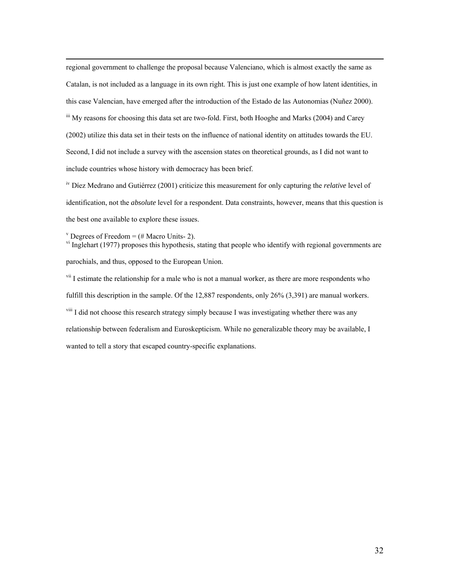<span id="page-31-1"></span> regional government to challenge the proposal because Valenciano, which is almost exactly the same as Catalan, is not included as a language in its own right. This is just one example of how latent identities, in this case Valencian, have emerged after the introduction of the Estado de las Autonomias (Nuñez 2000). iii My reasons for choosing this data set are two-fold. First, both Hooghe and Marks (2004) and Carey (2002) utilize this data set in their tests on the influence of national identity on attitudes towards the EU. Second, I did not include a survey with the ascension states on theoretical grounds, as I did not want to include countries whose history with democracy has been brief.

iv Díez Medrano and Gutiérrez (2001) criticize this measurement for only capturing the *relative* level of identification, not the *absolute* level for a respondent. Data constraints, however, means that this question is the best one available to explore these issues.

<sup>v</sup> Degrees of Freedom =  $(\#$  Macro Units- 2).

 $v<sup>i</sup>$  Inglehart (1977) proposes this hypothesis, stating that people who identify with regional governments are parochials, and thus, opposed to the European Union.

<span id="page-31-0"></span><sup>vii</sup> I estimate the relationship for a male who is not a manual worker, as there are more respondents who fulfill this description in the sample. Of the 12,887 respondents, only 26% (3,391) are manual workers. <sup>viii</sup> I did not choose this research strategy simply because I was investigating whether there was any relationship between federalism and Euroskepticism. While no generalizable theory may be available, I wanted to tell a story that escaped country-specific explanations.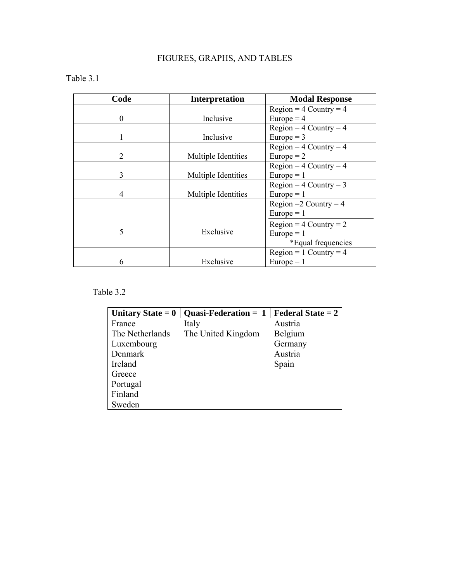## FIGURES, GRAPHS, AND TABLES

## Table 3.1

| Code | <b>Interpretation</b> | <b>Modal Response</b>      |
|------|-----------------------|----------------------------|
|      |                       | $Region = 4 Country = 4$   |
| 0    | Inclusive             | Europe = $4$               |
|      |                       | $Region = 4 Country = 4$   |
|      | Inclusive             | Europe $=$ 3               |
|      |                       | $Region = 4 Country = 4$   |
| 2    | Multiple Identities   | Europe $= 2$               |
|      |                       | $Region = 4 Country = 4$   |
| 3    | Multiple Identities   | Europe $= 1$               |
|      |                       | $Region = 4 Country = 3$   |
| 4    | Multiple Identities   | Europe $= 1$               |
|      |                       | Region = $2$ Country = $4$ |
|      |                       | Europe $= 1$               |
|      |                       | $Region = 4 Country = 2$   |
| 5    | Exclusive             | Europe $= 1$               |
|      |                       | *Equal frequencies         |
|      |                       | $Region = 1 Country = 4$   |
| 6    | Exclusive             | $Europe = 1$               |

## Table 3.2

| Unitary State $= 0$ | <b>Quasi-Federation = 1</b> | <b>Federal State = 2</b> |
|---------------------|-----------------------------|--------------------------|
| France              | Italy                       | Austria                  |
| The Netherlands     | The United Kingdom          | Belgium                  |
| Luxembourg          |                             | Germany                  |
| Denmark             |                             | Austria                  |
| Ireland             |                             | Spain                    |
| Greece              |                             |                          |
| Portugal            |                             |                          |
| Finland             |                             |                          |
| Sweden              |                             |                          |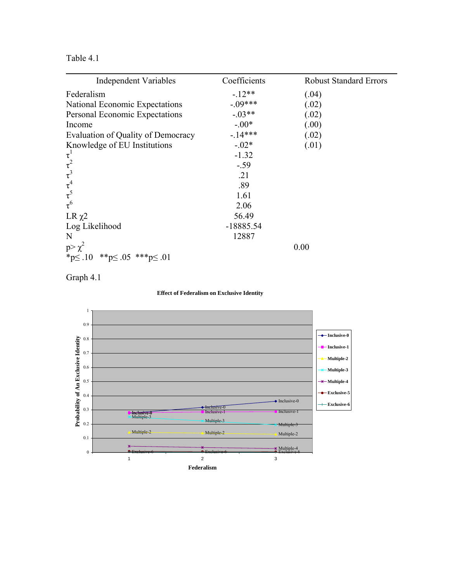Table 4.1

| <b>Independent Variables</b>                    | Coefficients | <b>Robust Standard Errors</b> |
|-------------------------------------------------|--------------|-------------------------------|
| Federalism                                      | $-12**$      | (.04)                         |
| National Economic Expectations                  | $-.09***$    | (.02)                         |
| Personal Economic Expectations                  | $-.03**$     | (.02)                         |
| Income                                          | $-.00*$      | (.00)                         |
| Evaluation of Quality of Democracy              | $-14***$     | (.02)                         |
| Knowledge of EU Institutions                    | $-.02*$      | (.01)                         |
|                                                 | $-1.32$      |                               |
| $\tau^1$<br>$\tau^2$<br>$\tau^3$<br>$\tau^4$    | $-.59$       |                               |
|                                                 | .21          |                               |
|                                                 | .89          |                               |
|                                                 | 1.61         |                               |
| $\tau^6$                                        | 2.06         |                               |
| LR $\chi$ 2                                     | 56.49        |                               |
| Log Likelihood                                  | $-18885.54$  |                               |
| N                                               | 12887        |                               |
| $p > \chi^2$                                    |              | 0.00                          |
| * $p \leq .10$ ** $p \leq .05$ *** $p \leq .01$ |              |                               |





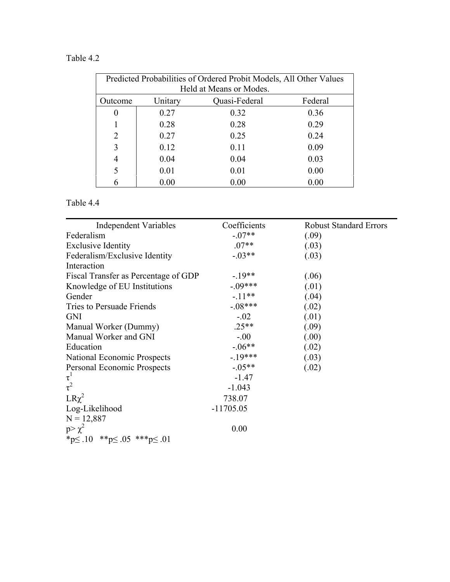## Table 4.2

| Predicted Probabilities of Ordered Probit Models, All Other Values |         |                         |         |
|--------------------------------------------------------------------|---------|-------------------------|---------|
|                                                                    |         | Held at Means or Modes. |         |
| Outcome                                                            | Unitary | Quasi-Federal           | Federal |
| 0                                                                  | 0.27    | 0.32                    | 0.36    |
|                                                                    | 0.28    | 0.28                    | 0.29    |
| $\overline{2}$                                                     | 0.27    | 0.25                    | 0.24    |
| 3                                                                  | 0.12    | 0.11                    | 0.09    |
| $\overline{4}$                                                     | 0.04    | 0.04                    | 0.03    |
| 5                                                                  | 0.01    | 0.01                    | 0.00    |
|                                                                    | 0.00    | 0.00                    | 0.00    |

## Table 4.4

| <b>Independent Variables</b>                 | Coefficients | <b>Robust Standard Errors</b> |
|----------------------------------------------|--------------|-------------------------------|
| Federalism                                   | $-.07**$     | (.09)                         |
| <b>Exclusive Identity</b>                    | $.07**$      | (.03)                         |
| Federalism/Exclusive Identity                | $-.03**$     | (.03)                         |
| Interaction                                  |              |                               |
| Fiscal Transfer as Percentage of GDP         | $-19**$      | (.06)                         |
| Knowledge of EU Institutions                 | $-0.09***$   | (.01)                         |
| Gender                                       | $-.11**$     | (.04)                         |
| Tries to Persuade Friends                    | $-.08***$    | (.02)                         |
| <b>GNI</b>                                   | $-.02$       | (.01)                         |
| Manual Worker (Dummy)                        | $.25**$      | (.09)                         |
| Manual Worker and GNI                        | $-.00$       | (.00)                         |
| Education                                    | $-.06**$     | (.02)                         |
| National Economic Prospects                  | $-19***$     | (.03)                         |
| Personal Economic Prospects                  | $-0.05**$    | (.02)                         |
| $\tau^1$                                     | $-1.47$      |                               |
| $\tau^2$                                     | $-1.043$     |                               |
| $LR\chi^2$                                   | 738.07       |                               |
| Log-Likelihood                               | $-11705.05$  |                               |
| $N = 12,887$                                 |              |                               |
| $p > \chi^2$                                 | 0.00         |                               |
| *p $\leq$ .10 **p $\leq$ .05 ***p $\leq$ .01 |              |                               |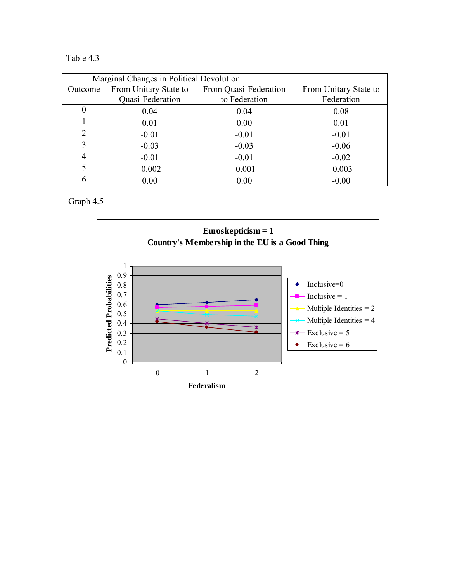Table 4.3

| Marginal Changes in Political Devolution |                       |                       |                       |
|------------------------------------------|-----------------------|-----------------------|-----------------------|
| Outcome                                  | From Unitary State to | From Quasi-Federation | From Unitary State to |
|                                          | Quasi-Federation      | to Federation         | Federation            |
| $\boldsymbol{0}$                         | 0.04                  | 0.04                  | 0.08                  |
|                                          | 0.01                  | 0.00                  | 0.01                  |
| $\overline{2}$                           | $-0.01$               | $-0.01$               | $-0.01$               |
| 3                                        | $-0.03$               | $-0.03$               | $-0.06$               |
| $\overline{4}$                           | $-0.01$               | $-0.01$               | $-0.02$               |
|                                          | $-0.002$              | $-0.001$              | $-0.003$              |
| 6                                        | 0.00                  | 0.00                  | $-0.00$               |

Graph 4.5

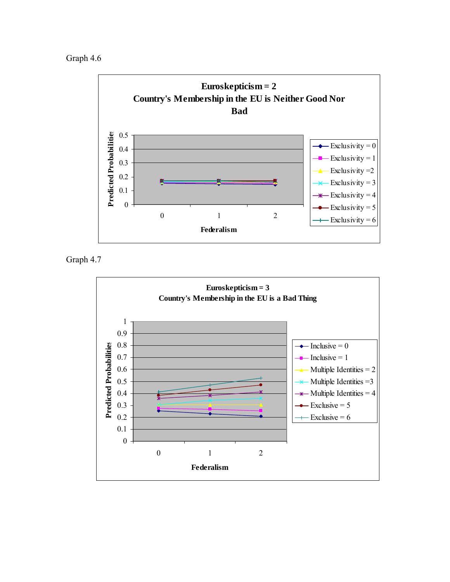Graph 4.6



Graph 4.7